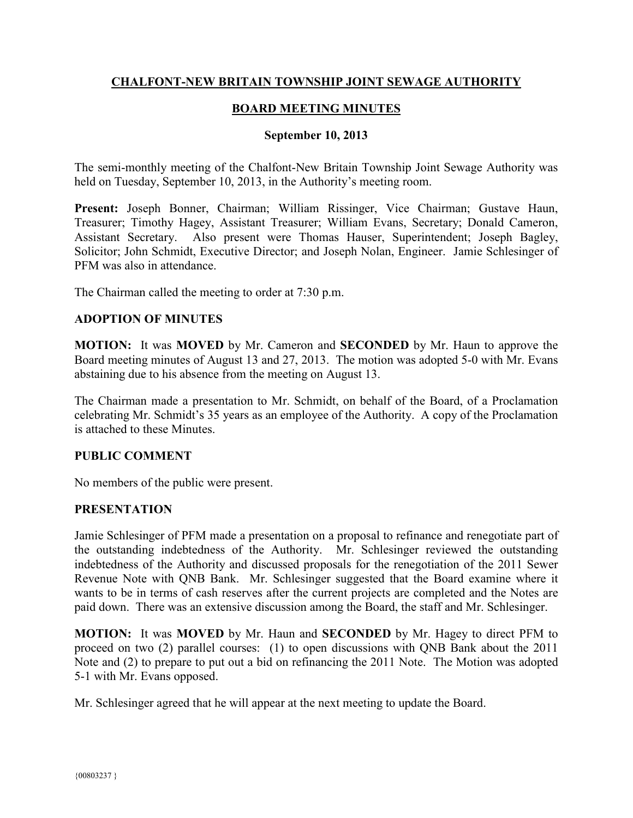# **CHALFONT-NEW BRITAIN TOWNSHIP JOINT SEWAGE AUTHORITY**

# **BOARD MEETING MINUTES**

#### **September 10, 2013**

The semi-monthly meeting of the Chalfont-New Britain Township Joint Sewage Authority was held on Tuesday, September 10, 2013, in the Authority's meeting room.

**Present:** Joseph Bonner, Chairman; William Rissinger, Vice Chairman; Gustave Haun, Treasurer; Timothy Hagey, Assistant Treasurer; William Evans, Secretary; Donald Cameron, Assistant Secretary. Also present were Thomas Hauser, Superintendent; Joseph Bagley, Solicitor; John Schmidt, Executive Director; and Joseph Nolan, Engineer. Jamie Schlesinger of PFM was also in attendance.

The Chairman called the meeting to order at 7:30 p.m.

## **ADOPTION OF MINUTES**

**MOTION:** It was **MOVED** by Mr. Cameron and **SECONDED** by Mr. Haun to approve the Board meeting minutes of August 13 and 27, 2013. The motion was adopted 5-0 with Mr. Evans abstaining due to his absence from the meeting on August 13.

The Chairman made a presentation to Mr. Schmidt, on behalf of the Board, of a Proclamation celebrating Mr. Schmidt's 35 years as an employee of the Authority. A copy of the Proclamation is attached to these Minutes.

#### **PUBLIC COMMENT**

No members of the public were present.

#### **PRESENTATION**

Jamie Schlesinger of PFM made a presentation on a proposal to refinance and renegotiate part of the outstanding indebtedness of the Authority. Mr. Schlesinger reviewed the outstanding indebtedness of the Authority and discussed proposals for the renegotiation of the 2011 Sewer Revenue Note with QNB Bank. Mr. Schlesinger suggested that the Board examine where it wants to be in terms of cash reserves after the current projects are completed and the Notes are paid down. There was an extensive discussion among the Board, the staff and Mr. Schlesinger.

**MOTION:** It was **MOVED** by Mr. Haun and **SECONDED** by Mr. Hagey to direct PFM to proceed on two (2) parallel courses: (1) to open discussions with QNB Bank about the 2011 Note and (2) to prepare to put out a bid on refinancing the 2011 Note. The Motion was adopted 5-1 with Mr. Evans opposed.

Mr. Schlesinger agreed that he will appear at the next meeting to update the Board.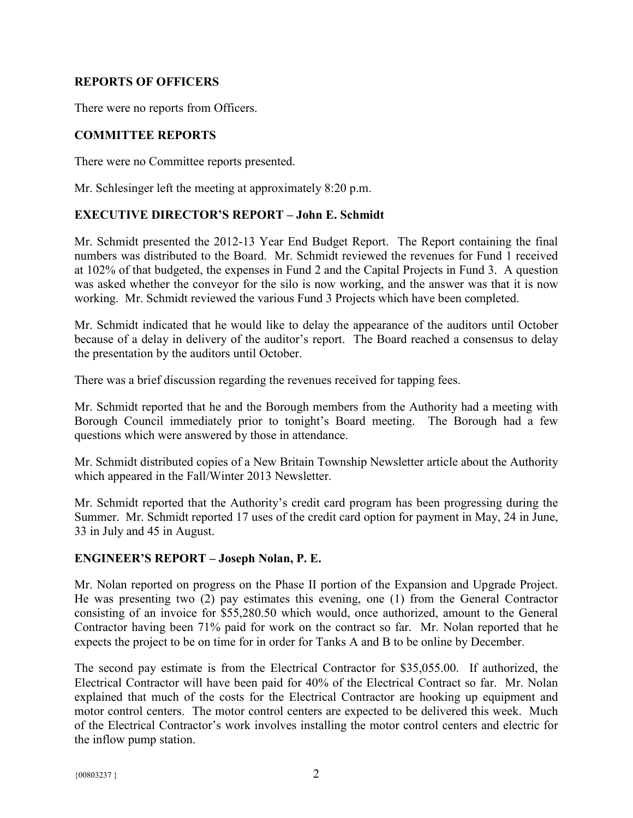# **REPORTS OF OFFICERS**

There were no reports from Officers.

# **COMMITTEE REPORTS**

There were no Committee reports presented.

Mr. Schlesinger left the meeting at approximately 8:20 p.m.

# **EXECUTIVE DIRECTOR'S REPORT – John E. Schmidt**

Mr. Schmidt presented the 2012-13 Year End Budget Report. The Report containing the final numbers was distributed to the Board. Mr. Schmidt reviewed the revenues for Fund 1 received at 102% of that budgeted, the expenses in Fund 2 and the Capital Projects in Fund 3. A question was asked whether the conveyor for the silo is now working, and the answer was that it is now working. Mr. Schmidt reviewed the various Fund 3 Projects which have been completed.

Mr. Schmidt indicated that he would like to delay the appearance of the auditors until October because of a delay in delivery of the auditor's report. The Board reached a consensus to delay the presentation by the auditors until October.

There was a brief discussion regarding the revenues received for tapping fees.

Mr. Schmidt reported that he and the Borough members from the Authority had a meeting with Borough Council immediately prior to tonight's Board meeting. The Borough had a few questions which were answered by those in attendance.

Mr. Schmidt distributed copies of a New Britain Township Newsletter article about the Authority which appeared in the Fall/Winter 2013 Newsletter.

Mr. Schmidt reported that the Authority's credit card program has been progressing during the Summer. Mr. Schmidt reported 17 uses of the credit card option for payment in May, 24 in June, 33 in July and 45 in August.

## **ENGINEER'S REPORT – Joseph Nolan, P. E.**

Mr. Nolan reported on progress on the Phase II portion of the Expansion and Upgrade Project. He was presenting two (2) pay estimates this evening, one (1) from the General Contractor consisting of an invoice for \$55,280.50 which would, once authorized, amount to the General Contractor having been 71% paid for work on the contract so far. Mr. Nolan reported that he expects the project to be on time for in order for Tanks A and B to be online by December.

The second pay estimate is from the Electrical Contractor for \$35,055.00. If authorized, the Electrical Contractor will have been paid for 40% of the Electrical Contract so far. Mr. Nolan explained that much of the costs for the Electrical Contractor are hooking up equipment and motor control centers. The motor control centers are expected to be delivered this week. Much of the Electrical Contractor's work involves installing the motor control centers and electric for the inflow pump station.